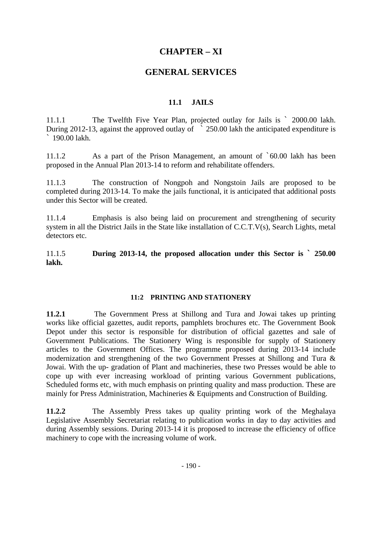# **CHAPTER – XI**

## **GENERAL SERVICES**

### **11.1 JAILS**

11.1.1 The Twelfth Five Year Plan, projected outlay for Jails is ` 2000.00 lakh. During 2012-13, against the approved outlay of ` 250.00 lakh the anticipated expenditure is  $\frac{190.00 \text{ l}_2}{h}$ 

11.1.2 As a part of the Prison Management, an amount of `60.00 lakh has been proposed in the Annual Plan 2013-14 to reform and rehabilitate offenders.

11.1.3 The construction of Nongpoh and Nongstoin Jails are proposed to be completed during 2013-14. To make the jails functional, it is anticipated that additional posts under this Sector will be created.

11.1.4 Emphasis is also being laid on procurement and strengthening of security system in all the District Jails in the State like installation of C.C.T.V(s), Search Lights, metal detectors etc.

11.1.5 **During 2013-14, the proposed allocation under this Sector is ` 250.00 lakh.** 

### **11:2 PRINTING AND STATIONERY**

**11.2.1** The Government Press at Shillong and Tura and Jowai takes up printing works like official gazettes, audit reports, pamphlets brochures etc. The Government Book Depot under this sector is responsible for distribution of official gazettes and sale of Government Publications. The Stationery Wing is responsible for supply of Stationery articles to the Government Offices. The programme proposed during 2013-14 include modernization and strengthening of the two Government Presses at Shillong and Tura & Jowai. With the up- gradation of Plant and machineries, these two Presses would be able to cope up with ever increasing workload of printing various Government publications, Scheduled forms etc, with much emphasis on printing quality and mass production. These are mainly for Press Administration, Machineries & Equipments and Construction of Building.

**11.2.2** The Assembly Press takes up quality printing work of the Meghalaya Legislative Assembly Secretariat relating to publication works in day to day activities and during Assembly sessions. During 2013-14 it is proposed to increase the efficiency of office machinery to cope with the increasing volume of work.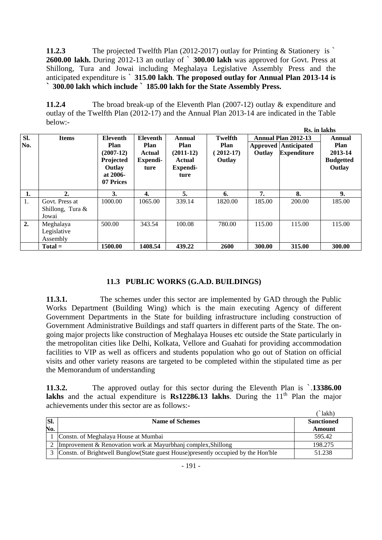**11.2.3** The projected Twelfth Plan (2012-2017) outlay for Printing & Stationery is ` **2600.00 lakh.** During 2012-13 an outlay of ` **300.00 lakh** was approved for Govt. Press at Shillong, Tura and Jowai including Meghalaya Legislative Assembly Press and the anticipated expenditure is ` **315.00 lakh**. **The proposed outlay for Annual Plan 2013-14 is ` 300.00 lakh which include ` 185.00 lakh for the State Assembly Press.**

**11.2.4** The broad break-up of the Eleventh Plan (2007-12) outlay & expenditure and outlay of the Twelfth Plan (2012-17) and the Annual Plan 2013-14 are indicated in the Table below:- **Rs. in lakhs** 

|            |                                                |                                                                                          |                                                              |                                                             |                                                 |        | rs. iii iakiis                                                                  |                                                                |
|------------|------------------------------------------------|------------------------------------------------------------------------------------------|--------------------------------------------------------------|-------------------------------------------------------------|-------------------------------------------------|--------|---------------------------------------------------------------------------------|----------------------------------------------------------------|
| Sl.<br>No. | <b>Items</b>                                   | <b>Eleventh</b><br>Plan<br>$(2007-12)$<br>Projected<br>Outlay<br>at $2006-$<br>07 Prices | <b>Eleventh</b><br>Plan<br><b>Actual</b><br>Expendi-<br>ture | Annual<br>Plan<br>$(2011-12)$<br>Actual<br>Expendi-<br>ture | Twelfth<br><b>Plan</b><br>$(2012-17)$<br>Outlay | Outlay | <b>Annual Plan 2012-13</b><br><b>Approved Anticipated</b><br><b>Expenditure</b> | Annual<br><b>Plan</b><br>2013-14<br><b>Budgetted</b><br>Outlay |
| 1.         | 2.                                             | 3.                                                                                       | 4.                                                           | 5.                                                          | 6.                                              | 7.     | 8.                                                                              | 9.                                                             |
| 1.         | Govt. Press at<br>Shillong, Tura $\&$<br>Jowai | 1000.00                                                                                  | 1065.00                                                      | 339.14                                                      | 1820.00                                         | 185.00 | 200.00                                                                          | 185.00                                                         |
| 2.         | Meghalaya<br>Legislative<br>Assembly           | 500.00                                                                                   | 343.54                                                       | 100.08                                                      | 780.00                                          | 115.00 | 115.00                                                                          | 115.00                                                         |
|            | $Total =$                                      | 1500.00                                                                                  | 1408.54                                                      | 439.22                                                      | 2600                                            | 300.00 | 315.00                                                                          | 300.00                                                         |

### **11.3 PUBLIC WORKS (G.A.D. BUILDINGS)**

**11.3.1.** The schemes under this sector are implemented by GAD through the Public Works Department (Building Wing) which is the main executing Agency of different Government Departments in the State for building infrastructure including construction of Government Administrative Buildings and staff quarters in different parts of the State. The ongoing major projects like construction of Meghalaya Houses etc outside the State particularly in the metropolitan cities like Delhi, Kolkata, Vellore and Guahati for providing accommodation facilities to VIP as well as officers and students population who go out of Station on official visits and other variety reasons are targeted to be completed within the stipulated time as per the Memorandum of understanding

**11.3.2.** The approved outlay for this sector during the Eleventh Plan is `.**13386.00 lakhs** and the actual expenditure is  $\text{Rs}12286.13$  lakhs. During the  $11^{\text{th}}$  Plan the major achievements under this sector are as follows:-  $\lambda$  and  $\lambda$ 

|     |                                                                                       | lakh'             |
|-----|---------------------------------------------------------------------------------------|-------------------|
| SI. | <b>Name of Schemes</b>                                                                | <b>Sanctioned</b> |
| No. |                                                                                       | Amount            |
|     | Constn. of Meghalaya House at Mumbai                                                  | 595.42            |
|     | 2 Improvement & Renovation work at Mayurbhanj complex, Shillong                       | 198.275           |
|     | 3 Constn. of Brightwell Bunglow (State guest House) presently occupied by the Hon'ble | 51.238            |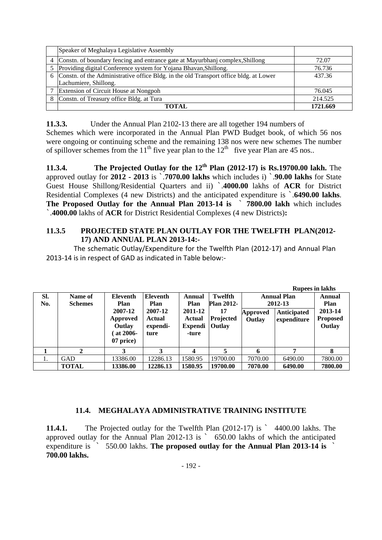|   | Speaker of Meghalaya Legislative Assembly                                               |          |
|---|-----------------------------------------------------------------------------------------|----------|
| 4 | Constn. of boundary fencing and entrance gate at Mayurbhanj complex, Shillong           | 72.07    |
|   | 5 Providing digital Conference system for Yojana Bhavan, Shillong.                      | 76.736   |
|   | 6 Constn. of the Administrative office Bldg. in the old Transport office bldg. at Lower | 437.36   |
|   | Lachumiere, Shillong.                                                                   |          |
|   | Extension of Circuit House at Nongpoh                                                   | 76.045   |
|   | Constn. of Treasury office Bldg. at Tura                                                | 214.525  |
|   | 'OTAI                                                                                   | 1721.669 |

**11.3.3.** Under the Annual Plan 2102-13 there are all together 194 numbers of

Schemes which were incorporated in the Annual Plan PWD Budget book, of which 56 nos were ongoing or continuing scheme and the remaining 138 nos were new schemes The number of spillover schemes from the 11<sup>th</sup> five year plan to the  $12<sup>th</sup>$  five year Plan are 45 nos..

**11.3.4. The Projected Outlay for the 12th Plan (2012-17) is Rs.19700.00 lakh.** The approved outlay for **2012 - 2013** is `.**7070.00 lakhs** which includes i) `.**90.00 lakhs** for State Guest House Shillong/Residential Quarters and ii) `.**4000.00** lakhs of **ACR** for District Residential Complexes (4 new Districts) and the anticipated expenditure is `.**6490.00 lakhs**. **The Proposed Outlay for the Annual Plan 2013-14 is** ` **7800.00 lakh** which includes `.**4000.00** lakhs of **ACR** for District Residential Complexes (4 new Districts)**:** 

## **11.3.5 PROJECTED STATE PLAN OUTLAY FOR THE TWELFTH PLAN(2012- 17) AND ANNUAL PLAN 2013-14:-**

 The schematic Outlay/Expenditure for the Twelfth Plan (2012‐17) and Annual Plan 2013‐14 is in respect of GAD as indicated in Table below:‐ 

|            |                           |                                                                                          |                                                                  |                                                         |                                                                         |                    | <b>Rupees in lakhs</b>                                             |                                                        |
|------------|---------------------------|------------------------------------------------------------------------------------------|------------------------------------------------------------------|---------------------------------------------------------|-------------------------------------------------------------------------|--------------------|--------------------------------------------------------------------|--------------------------------------------------------|
| SI.<br>No. | Name of<br><b>Schemes</b> | <b>Eleventh</b><br><b>Plan</b><br>2007-12<br>Approved<br>Outlay<br>at 2006-<br>07 price) | Eleventh<br>Plan<br>2007-12<br><b>Actual</b><br>expendi-<br>ture | Annual<br>Plan<br>2011-12<br>Actual<br>Expendi<br>-ture | Twelfth<br><b>Plan 2012-</b><br>17<br><b>Projected</b><br><b>Outlay</b> | Approved<br>Outlay | <b>Annual Plan</b><br>2012-13<br><b>Anticipated</b><br>expenditure | Annual<br>Plan<br>2013-14<br><b>Proposed</b><br>Outlay |
|            |                           |                                                                                          | 3                                                                | 4                                                       |                                                                         |                    | ៗ                                                                  | 8                                                      |
| 1.         | GAD                       | 13386.00                                                                                 | 12286.13                                                         | 1580.95                                                 | 19700.00                                                                | 7070.00            | 6490.00                                                            | 7800.00                                                |
|            | <b>TOTAL</b>              | 13386.00                                                                                 | 12286.13                                                         | 1580.95                                                 | 19700.00                                                                | 7070.00            | 6490.00                                                            | 7800.00                                                |

### **11.4. MEGHALAYA ADMINISTRATIVE TRAINING INSTITUTE**

**11.4.1.** The Projected outlay for the Twelfth Plan (2012-17) is ` 4400.00 lakhs. The approved outlay for the Annual Plan 2012-13 is ` 650.00 lakhs of which the anticipated expenditure is ` 550.00 lakhs. **The proposed outlay for the Annual Plan 2013-14 is** ` **700.00 lakhs.**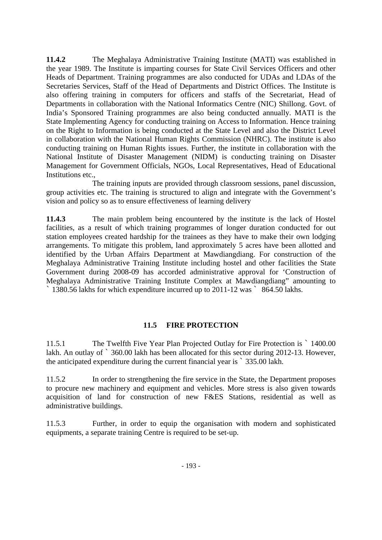**11.4.2** The Meghalaya Administrative Training Institute (MATI) was established in the year 1989. The Institute is imparting courses for State Civil Services Officers and other Heads of Department. Training programmes are also conducted for UDAs and LDAs of the Secretaries Services, Staff of the Head of Departments and District Offices. The Institute is also offering training in computers for officers and staffs of the Secretariat, Head of Departments in collaboration with the National Informatics Centre (NIC) Shillong. Govt. of India's Sponsored Training programmes are also being conducted annually. MATI is the State Implementing Agency for conducting training on Access to Information. Hence training on the Right to Information is being conducted at the State Level and also the District Level in collaboration with the National Human Rights Commission (NHRC). The institute is also conducting training on Human Rights issues. Further, the institute in collaboration with the National Institute of Disaster Management (NIDM) is conducting training on Disaster Management for Government Officials, NGOs, Local Representatives, Head of Educational Institutions etc.,

 The training inputs are provided through classroom sessions, panel discussion, group activities etc. The training is structured to align and integrate with the Government's vision and policy so as to ensure effectiveness of learning delivery

**11.4.3** The main problem being encountered by the institute is the lack of Hostel facilities, as a result of which training programmes of longer duration conducted for out station employees created hardship for the trainees as they have to make their own lodging arrangements. To mitigate this problem, land approximately 5 acres have been allotted and identified by the Urban Affairs Department at Mawdiangdiang. For construction of the Meghalaya Administrative Training Institute including hostel and other facilities the State Government during 2008-09 has accorded administrative approval for 'Construction of Meghalaya Administrative Training Institute Complex at Mawdiangdiang" amounting to ` 1380.56 lakhs for which expenditure incurred up to 2011-12 was ` 864.50 lakhs.

### **11.5 FIRE PROTECTION**

11.5.1 The Twelfth Five Year Plan Projected Outlay for Fire Protection is ` 1400.00 lakh. An outlay of  $\degree$  360.00 lakh has been allocated for this sector during 2012-13. However, the anticipated expenditure during the current financial year is ` 335.00 lakh.

11.5.2 In order to strengthening the fire service in the State, the Department proposes to procure new machinery and equipment and vehicles. More stress is also given towards acquisition of land for construction of new F&ES Stations, residential as well as administrative buildings.

11.5.3 Further, in order to equip the organisation with modern and sophisticated equipments, a separate training Centre is required to be set-up.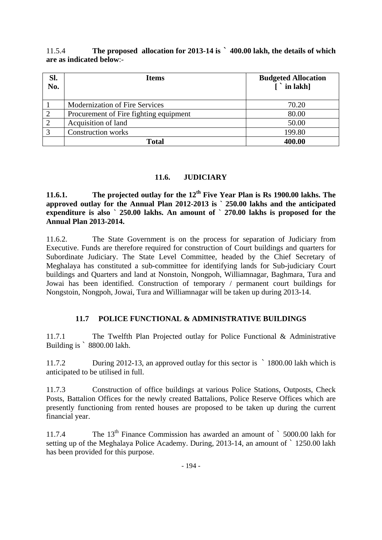11.5.4 **The proposed allocation for 2013-14 is ` 400.00 lakh, the details of which are as indicated below**:-

| Sl.<br>No.  | <b>Items</b>                           | <b>Budgeted Allocation</b><br>$\lceil$ in lakh] |
|-------------|----------------------------------------|-------------------------------------------------|
|             | Modernization of Fire Services         | 70.20                                           |
|             | Procurement of Fire fighting equipment | 80.00                                           |
|             | Acquisition of land                    | 50.00                                           |
| $\mathbf 3$ | <b>Construction works</b>              | 199.80                                          |
|             | Total                                  | 400.00                                          |

### **11.6. JUDICIARY**

**11.6.1. The projected outlay for the 12<sup>th</sup> Five Year Plan is Rs 1900.00 lakhs. The approved outlay for the Annual Plan 2012-2013 is ` 250.00 lakhs and the anticipated**  expenditure is also ` 250.00 lakhs. An amount of ` 270.00 lakhs is proposed for the **Annual Plan 2013-2014.** 

11.6.2. The State Government is on the process for separation of Judiciary from Executive. Funds are therefore required for construction of Court buildings and quarters for Subordinate Judiciary. The State Level Committee, headed by the Chief Secretary of Meghalaya has constituted a sub-committee for identifying lands for Sub-judiciary Court buildings and Quarters and land at Nonstoin, Nongpoh, Williamnagar, Baghmara, Tura and Jowai has been identified. Construction of temporary / permanent court buildings for Nongstoin, Nongpoh, Jowai, Tura and Williamnagar will be taken up during 2013-14.

## **11.7 POLICE FUNCTIONAL & ADMINISTRATIVE BUILDINGS**

11.7.1 The Twelfth Plan Projected outlay for Police Functional & Administrative Building is ` 8800.00 lakh.

11.7.2 During 2012-13, an approved outlay for this sector is ` 1800.00 lakh which is anticipated to be utilised in full.

11.7.3 Construction of office buildings at various Police Stations, Outposts, Check Posts, Battalion Offices for the newly created Battalions, Police Reserve Offices which are presently functioning from rented houses are proposed to be taken up during the current financial year.

11.7.4 The 13<sup>th</sup> Finance Commission has awarded an amount of ` 5000.00 lakh for setting up of the Meghalaya Police Academy. During, 2013-14, an amount of ` 1250.00 lakh has been provided for this purpose.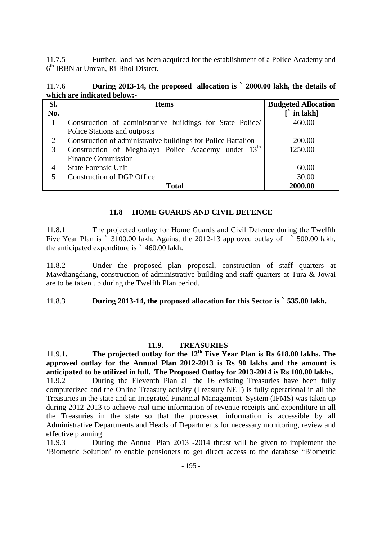11.7.5 Further, land has been acquired for the establishment of a Police Academy and 6th IRBN at Umran, Ri-Bhoi Distrct.

| 11.7.6 | During 2013-14, the proposed allocation is ` 2000.00 lakh, the details of |  |  |
|--------|---------------------------------------------------------------------------|--|--|
|        | which are indicated below:-                                               |  |  |

| Sl. | <b>Items</b>                                                    | <b>Budgeted Allocation</b> |
|-----|-----------------------------------------------------------------|----------------------------|
| No. |                                                                 | $\int$ in lakh]            |
|     | Construction of administrative buildings for State Police/      | 460.00                     |
|     | Police Stations and outposts                                    |                            |
| 2   | Construction of administrative buildings for Police Battalion   | 200.00                     |
| 3   | Construction of Meghalaya Police Academy under 13 <sup>th</sup> | 1250.00                    |
|     | <b>Finance Commission</b>                                       |                            |
| 4   | <b>State Forensic Unit</b>                                      | 60.00                      |
|     | <b>Construction of DGP Office</b>                               | 30.00                      |
|     | Total                                                           | 2000.00                    |

### **11.8 HOME GUARDS AND CIVIL DEFENCE**

11.8.1 The projected outlay for Home Guards and Civil Defence during the Twelfth Five Year Plan is  $\frac{1}{2}$  3100.00 lakh. Against the 2012-13 approved outlay of  $\frac{1}{2}$  500.00 lakh, the anticipated expenditure is ` 460.00 lakh.

11.8.2 Under the proposed plan proposal, construction of staff quarters at Mawdiangdiang, construction of administrative building and staff quarters at Tura & Jowai are to be taken up during the Twelfth Plan period.

### 11.8.3 **During 2013-14, the proposed allocation for this Sector is ` 535.00 lakh.**

### **11.9. TREASURIES**

11.9.1**. The projected outlay for the 12th Five Year Plan is Rs 618.00 lakhs. The approved outlay for the Annual Plan 2012-2013 is Rs 90 lakhs and the amount is anticipated to be utilized in full. The Proposed Outlay for 2013-2014 is Rs 100.00 lakhs.**  11.9.2 During the Eleventh Plan all the 16 existing Treasuries have been fully computerized and the Online Treasury activity (Treasury NET) is fully operational in all the Treasuries in the state and an Integrated Financial Management System (IFMS) was taken up during 2012-2013 to achieve real time information of revenue receipts and expenditure in all the Treasuries in the state so that the processed information is accessible by all Administrative Departments and Heads of Departments for necessary monitoring, review and effective planning.

11.9.3 During the Annual Plan 2013 -2014 thrust will be given to implement the 'Biometric Solution' to enable pensioners to get direct access to the database "Biometric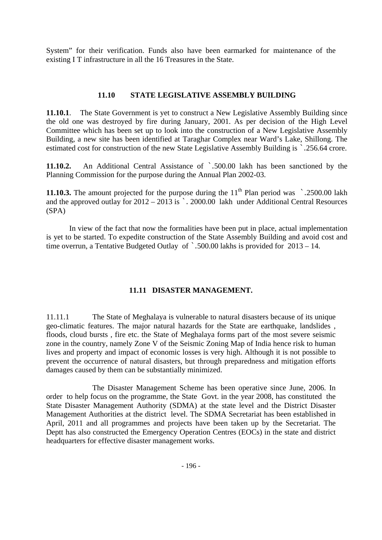System" for their verification. Funds also have been earmarked for maintenance of the existing I T infrastructure in all the 16 Treasures in the State.

#### **11.10 STATE LEGISLATIVE ASSEMBLY BUILDING**

**11.10.1**. The State Government is yet to construct a New Legislative Assembly Building since the old one was destroyed by fire during January, 2001. As per decision of the High Level Committee which has been set up to look into the construction of a New Legislative Assembly Building, a new site has been identified at Taraghar Complex near Ward's Lake, Shillong. The estimated cost for construction of the new State Legislative Assembly Building is `.256.64 crore.

**11.10.2.** An Additional Central Assistance of `.500.00 lakh has been sanctioned by the Planning Commission for the purpose during the Annual Plan 2002-03.

**11.10.3.** The amount projected for the purpose during the  $11<sup>th</sup>$  Plan period was  $\cdot$  .2500.00 lakh and the approved outlay for  $2012 - 2013$  is  $\cdot$  2000.00 lakh under Additional Central Resources (SPA)

In view of the fact that now the formalities have been put in place, actual implementation is yet to be started. To expedite construction of the State Assembly Building and avoid cost and time overrun, a Tentative Budgeted Outlay of `.500.00 lakhs is provided for 2013 – 14.

### **11.11 DISASTER MANAGEMENT.**

11.11.1 The State of Meghalaya is vulnerable to natural disasters because of its unique geo-climatic features. The major natural hazards for the State are earthquake, landslides , floods, cloud bursts , fire etc. the State of Meghalaya forms part of the most severe seismic zone in the country, namely Zone V of the Seismic Zoning Map of India hence risk to human lives and property and impact of economic losses is very high. Although it is not possible to prevent the occurrence of natural disasters, but through preparedness and mitigation efforts damages caused by them can be substantially minimized.

The Disaster Management Scheme has been operative since June, 2006. In order to help focus on the programme, the State Govt. in the year 2008, has constituted the State Disaster Management Authority (SDMA) at the state level and the District Disaster Management Authorities at the district level. The SDMA Secretariat has been established in April, 2011 and all programmes and projects have been taken up by the Secretariat. The Deptt has also constructed the Emergency Operation Centres (EOCs) in the state and district headquarters for effective disaster management works.